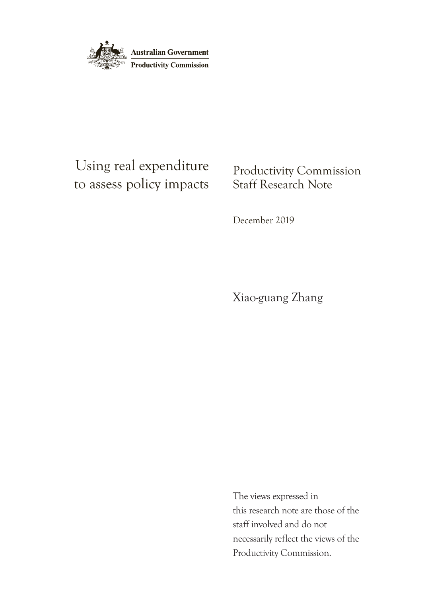

## Using real expenditure to assess policy impacts

## Productivity Commission Staff Research Note

December 2019

Xiao-guang Zhang

The views expressed in this research note are those of the staff involved and do not necessarily reflect the views of the Productivity Commission.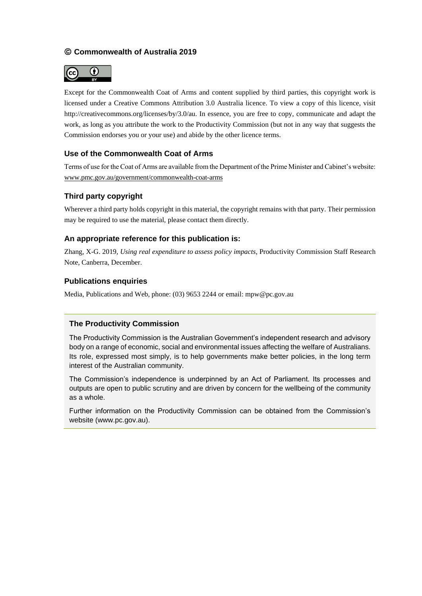#### **Commonwealth of Australia 2019**



Except for the Commonwealth Coat of Arms and content supplied by third parties, this copyright work is licensed under a Creative Commons Attribution 3.0 Australia licence. To view a copy of this licence, visit [http://creativecommons.org/licenses/by/3.0/au.](http://creativecommons.org/licenses/by/3.0/au) In essence, you are free to copy, communicate and adapt the work, as long as you attribute the work to the Productivity Commission (but not in any way that suggests the Commission endorses you or your use) and abide by the other licence terms.

#### **Use of the Commonwealth Coat of Arms**

Terms of use for the Coat of Arms are available from the Department of the Prime Minister and Cabinet's website: [www.pmc.gov.au/government/commonwealth-coat-arms](http://www.pmc.gov.au/government/commonwealth-coat-arms)

#### **Third party copyright**

Wherever a third party holds copyright in this material, the copyright remains with that party. Their permission may be required to use the material, please contact them directly.

#### **An appropriate reference for this publication is:**

Zhang, X-G. 2019, *Using real expenditure to assess policy impacts*, Productivity Commission Staff Research Note, Canberra, December.

#### **Publications enquiries**

Media, Publications and Web, phone: (03) 9653 2244 or email: mpw@pc.gov.au

#### **The Productivity Commission**

The Productivity Commission is the Australian Government's independent research and advisory body on a range of economic, social and environmental issues affecting the welfare of Australians. Its role, expressed most simply, is to help governments make better policies, in the long term interest of the Australian community.

The Commission's independence is underpinned by an Act of Parliament. Its processes and outputs are open to public scrutiny and are driven by concern for the wellbeing of the community as a whole.

Further information on the Productivity Commission can be obtained from the Commission's website [\(www.pc.gov.au\)](https://www.pc.gov.au/inquiries/completed/consumer-product-safety/report).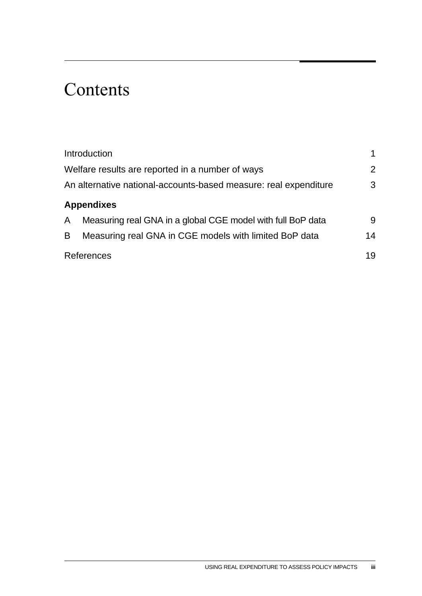## **Contents**

|   | Introduction                                                     |    |
|---|------------------------------------------------------------------|----|
|   | Welfare results are reported in a number of ways                 | 2  |
|   | An alternative national-accounts-based measure: real expenditure | 3  |
|   | <b>Appendixes</b>                                                |    |
| A | Measuring real GNA in a global CGE model with full BoP data      | 9  |
| B | Measuring real GNA in CGE models with limited BoP data           | 14 |
|   | <b>References</b>                                                | 19 |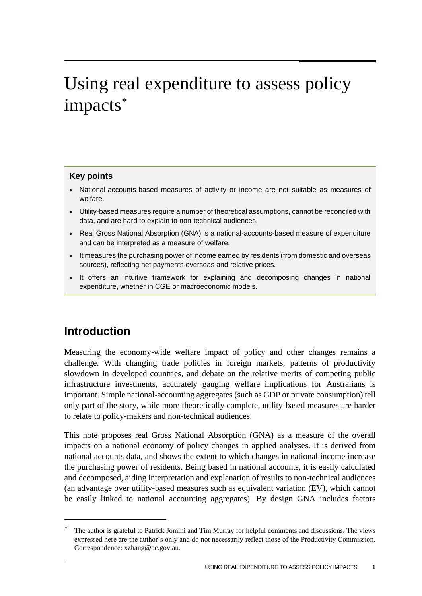## <span id="page-3-0"></span>Using real expenditure to assess policy impacts \*

#### **Key points**

- National-accounts-based measures of activity or income are not suitable as measures of welfare.
- Utility-based measures require a number of theoretical assumptions, cannot be reconciled with data, and are hard to explain to non-technical audiences.
- Real Gross National Absorption (GNA) is a national-accounts-based measure of expenditure and can be interpreted as a measure of welfare.
- It measures the purchasing power of income earned by residents (from domestic and overseas sources), reflecting net payments overseas and relative prices.
- It offers an intuitive framework for explaining and decomposing changes in national expenditure, whether in CGE or macroeconomic models.

### **Introduction**

<u>.</u>

Measuring the economy-wide welfare impact of policy and other changes remains a challenge. With changing trade policies in foreign markets, patterns of productivity slowdown in developed countries, and debate on the relative merits of competing public infrastructure investments, accurately gauging welfare implications for Australians is important. Simple national-accounting aggregates (such as GDP or private consumption) tell only part of the story, while more theoretically complete, utility-based measures are harder to relate to policy-makers and non-technical audiences.

This note proposes real Gross National Absorption (GNA) as a measure of the overall impacts on a national economy of policy changes in applied analyses. It is derived from national accounts data, and shows the extent to which changes in national income increase the purchasing power of residents. Being based in national accounts, it is easily calculated and decomposed, aiding interpretation and explanation of results to non-technical audiences (an advantage over utility-based measures such as equivalent variation (EV), which cannot be easily linked to national accounting aggregates). By design GNA includes factors

<sup>\*</sup> The author is grateful to Patrick Jomini and Tim Murray for helpful comments and discussions. The views expressed here are the author's only and do not necessarily reflect those of the Productivity Commission. Correspondence: xzhang@pc.gov.au.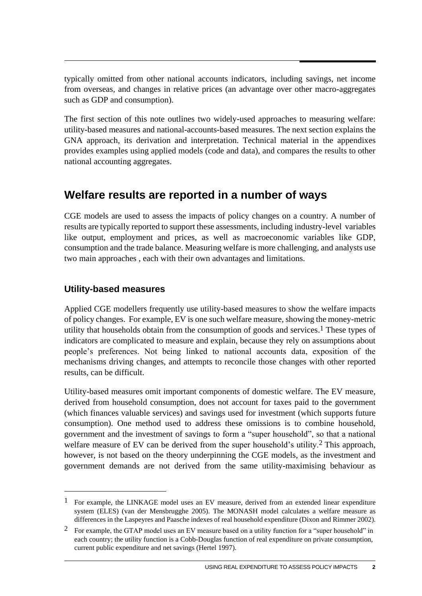<span id="page-4-0"></span>typically omitted from other national accounts indicators, including savings, net income from overseas, and changes in relative prices (an advantage over other macro-aggregates such as GDP and consumption).

The first section of this note outlines two widely-used approaches to measuring welfare: utility-based measures and national-accounts-based measures. The next section explains the GNA approach, its derivation and interpretation. Technical material in the appendixes provides examples using applied models (code and data), and compares the results to other national accounting aggregates.

### **Welfare results are reported in a number of ways**

CGE models are used to assess the impacts of policy changes on a country. A number of results are typically reported to support these assessments, including industry-level variables like output, employment and prices, as well as macroeconomic variables like GDP, consumption and the trade balance. Measuring welfare is more challenging, and analysts use two main approaches , each with their own advantages and limitations.

### **Utility-based measures**

1

Applied CGE modellers frequently use utility-based measures to show the welfare impacts of policy changes. For example, EV is one such welfare measure, showing the money-metric utility that households obtain from the consumption of goods and services. 1 These types of indicators are complicated to measure and explain, because they rely on assumptions about people's preferences. Not being linked to national accounts data, exposition of the mechanisms driving changes, and attempts to reconcile those changes with other reported results, can be difficult.

Utility-based measures omit important components of domestic welfare. The EV measure, derived from household consumption, does not account for taxes paid to the government (which finances valuable services) and savings used for investment (which supports future consumption). One method used to address these omissions is to combine household, government and the investment of savings to form a "super household", so that a national welfare measure of EV can be derived from the super household's utility.<sup>2</sup> This approach, however, is not based on the theory underpinning the CGE models, as the investment and government demands are not derived from the same utility-maximising behaviour as

<sup>&</sup>lt;sup>1</sup> For example, the LINKAGE model uses an EV measure, derived from an extended linear expenditure system (ELES) (van der Mensbrugghe 2005). The MONASH model calculates a welfare measure as differences in the Laspeyres and Paasche indexes of real household expenditure (Dixon and Rimmer 2002).

<sup>&</sup>lt;sup>2</sup> For example, the GTAP model uses an EV measure based on a utility function for a "super household" in each country; the utility function is a Cobb-Douglas function of real expenditure on private consumption, current public expenditure and net savings (Hertel 1997).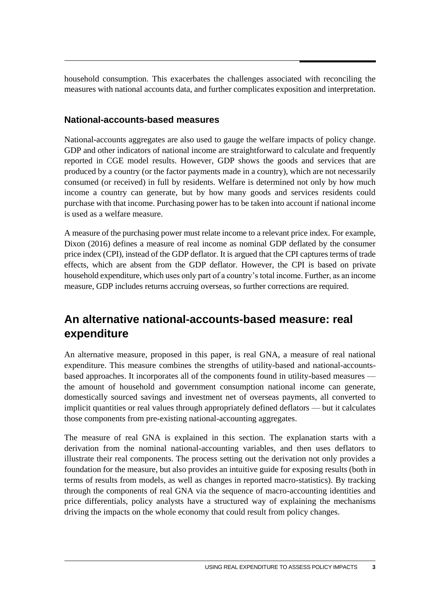<span id="page-5-0"></span>household consumption. This exacerbates the challenges associated with reconciling the measures with national accounts data, and further complicates exposition and interpretation.

#### **National-accounts-based measures**

National-accounts aggregates are also used to gauge the welfare impacts of policy change. GDP and other indicators of national income are straightforward to calculate and frequently reported in CGE model results. However, GDP shows the goods and services that are produced by a country (or the factor payments made in a country), which are not necessarily consumed (or received) in full by residents. Welfare is determined not only by how much income a country can generate, but by how many goods and services residents could purchase with that income. Purchasing power has to be taken into account if national income is used as a welfare measure.

A measure of the purchasing power must relate income to a relevant price index. For example, Dixon (2016) defines a measure of real income as nominal GDP deflated by the consumer price index (CPI), instead of the GDP deflator. It is argued that the CPI captures terms of trade effects, which are absent from the GDP deflator. However, the CPI is based on private household expenditure, which uses only part of a country's total income. Further, as an income measure, GDP includes returns accruing overseas, so further corrections are required.

## **An alternative national-accounts-based measure: real expenditure**

An alternative measure, proposed in this paper, is real GNA, a measure of real national expenditure. This measure combines the strengths of utility-based and national-accountsbased approaches. It incorporates all of the components found in utility-based measures the amount of household and government consumption national income can generate, domestically sourced savings and investment net of overseas payments, all converted to implicit quantities or real values through appropriately defined deflators — but it calculates those components from pre-existing national-accounting aggregates.

The measure of real GNA is explained in this section. The explanation starts with a derivation from the nominal national-accounting variables, and then uses deflators to illustrate their real components. The process setting out the derivation not only provides a foundation for the measure, but also provides an intuitive guide for exposing results (both in terms of results from models, as well as changes in reported macro-statistics). By tracking through the components of real GNA via the sequence of macro-accounting identities and price differentials, policy analysts have a structured way of explaining the mechanisms driving the impacts on the whole economy that could result from policy changes.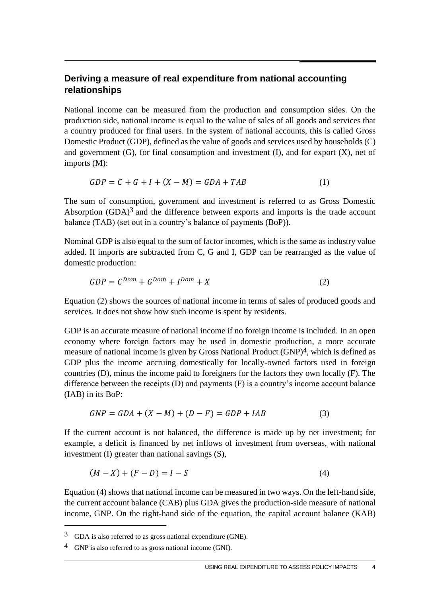#### **Deriving a measure of real expenditure from national accounting relationships**

National income can be measured from the production and consumption sides. On the production side, national income is equal to the value of sales of all goods and services that a country produced for final users. In the system of national accounts, this is called Gross Domestic Product (GDP), defined as the value of goods and services used by households (C) and government  $(G)$ , for final consumption and investment  $(I)$ , and for export  $(X)$ , net of imports (M):

$$
GDP = C + G + I + (X - M) = GDA + TAB
$$
\n<sup>(1)</sup>

The sum of consumption, government and investment is referred to as Gross Domestic Absorption  $(GDA)^3$  and the difference between exports and imports is the trade account balance (TAB) (set out in a country's balance of payments (BoP)).

Nominal GDP is also equal to the sum of factor incomes, which is the same as industry value added. If imports are subtracted from C, G and I, GDP can be rearranged as the value of domestic production:

$$
GDP = C^{Dom} + G^{Dom} + I^{Dom} + X \tag{2}
$$

Equation (2) shows the sources of national income in terms of sales of produced goods and services. It does not show how such income is spent by residents.

GDP is an accurate measure of national income if no foreign income is included. In an open economy where foreign factors may be used in domestic production, a more accurate measure of national income is given by Gross National Product (GNP)4, which is defined as GDP plus the income accruing domestically for locally-owned factors used in foreign countries (D), minus the income paid to foreigners for the factors they own locally (F). The difference between the receipts (D) and payments (F) is a country's income account balance (IAB) in its BoP:

$$
GNP = GDA + (X - M) + (D - F) = GDP + IAB
$$
\n(3)

If the current account is not balanced, the difference is made up by net investment; for example, a deficit is financed by net inflows of investment from overseas, with national investment (I) greater than national savings (S),

$$
(M - X) + (F - D) = I - S \tag{4}
$$

Equation (4) shows that national income can be measured in two ways. On the left-hand side, the current account balance (CAB) plus GDA gives the production-side measure of national income, GNP. On the right-hand side of the equation, the capital account balance (KAB)

1

<sup>3</sup> GDA is also referred to as gross national expenditure (GNE).

<sup>4</sup> GNP is also referred to as gross national income (GNI).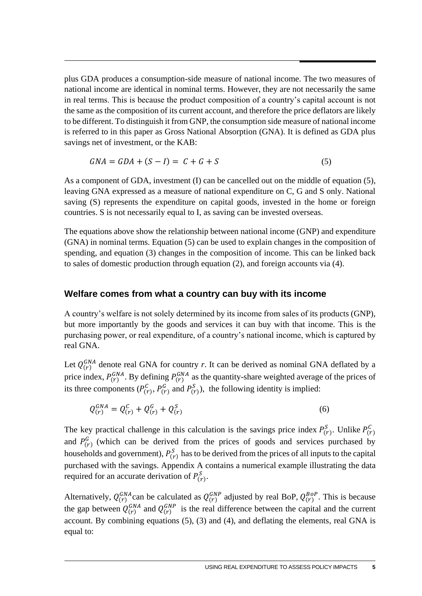plus GDA produces a consumption-side measure of national income. The two measures of national income are identical in nominal terms. However, they are not necessarily the same in real terms. This is because the product composition of a country's capital account is not the same as the composition of its current account, and therefore the price deflators are likely to be different. To distinguish it from GNP, the consumption side measure of national income is referred to in this paper as Gross National Absorption (GNA). It is defined as GDA plus savings net of investment, or the KAB:

$$
GNA = GDA + (S - I) = C + G + S \tag{5}
$$

As a component of GDA, investment (I) can be cancelled out on the middle of equation (5), leaving GNA expressed as a measure of national expenditure on C, G and S only. National saving (S) represents the expenditure on capital goods, invested in the home or foreign countries. S is not necessarily equal to I, as saving can be invested overseas.

The equations above show the relationship between national income (GNP) and expenditure (GNA) in nominal terms. Equation (5) can be used to explain changes in the composition of spending, and equation (3) changes in the composition of income. This can be linked back to sales of domestic production through equation (2), and foreign accounts via (4).

#### **Welfare comes from what a country can buy with its income**

A country's welfare is not solely determined by its income from sales of its products (GNP), but more importantly by the goods and services it can buy with that income. This is the purchasing power, or real expenditure, of a country's national income, which is captured by real GNA.

Let  $Q_{(r)}^{GNA}$  denote real GNA for country *r*. It can be derived as nominal GNA deflated by a price index,  $P_{(r)}^{GNA}$ . By defining  $P_{(r)}^{GNA}$  as the quantity-share weighted average of the prices of its three components  $(P_{(r)}^C, P_{(r)}^G$  and  $P_{(r)}^S$ ), the following identity is implied:

$$
Q_{(r)}^{GNA} = Q_{(r)}^C + Q_{(r)}^G + Q_{(r)}^S
$$
\n(6)

The key practical challenge in this calculation is the savings price index  $P_{(r)}^S$ . Unlike  $P_{(r)}^C$ and  $P_{(r)}^G$  (which can be derived from the prices of goods and services purchased by households and government),  $P_{(r)}^S$  has to be derived from the prices of all inputs to the capital purchased with the savings. Appendix A contains a numerical example illustrating the data required for an accurate derivation of  $P_{(r)}^S$ .

Alternatively,  $Q_{(r)}^{GNA}$  can be calculated as  $Q_{(r)}^{GNP}$  adjusted by real BoP,  $Q_{(r)}^{BOP}$ . This is because the gap between  $Q_{(r)}^{GNA}$  and  $Q_{(r)}^{GNP}$  is the real difference between the capital and the current account. By combining equations (5), (3) and (4), and deflating the elements, real GNA is equal to: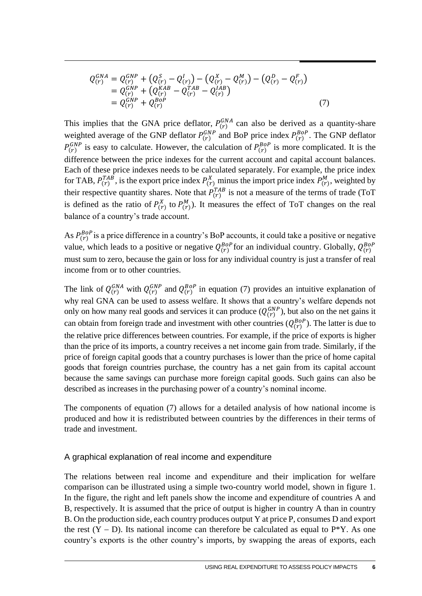$$
Q_{(r)}^{GNA} = Q_{(r)}^{GNP} + (Q_{(r)}^{S} - Q_{(r)}^{I}) - (Q_{(r)}^{X} - Q_{(r)}^{M}) - (Q_{(r)}^{P} - Q_{(r)}^{F})
$$
  
=  $Q_{(r)}^{GNP} + (Q_{(r)}^{KAB} - Q_{(r)}^{TAB} - Q_{(r)}^{IAB})$   
=  $Q_{(r)}^{GNP} + Q_{(r)}^{BOP}$  (7)

This implies that the GNA price deflator,  $P_{(r)}^{GNA}$  can also be derived as a quantity-share weighted average of the GNP deflator  $P_{(r)}^{GNP}$  and BoP price index  $P_{(r)}^{BOP}$ . The GNP deflator  $P_{(r)}^{GNP}$  is easy to calculate. However, the calculation of  $P_{(r)}^{BOP}$  is more complicated. It is the difference between the price indexes for the current account and capital account balances. Each of these price indexes needs to be calculated separately. For example, the price index for TAB,  $P_{(r)}^{TAB}$ , is the export price index  $P_{(r)}^{X}$  minus the import price index  $P_{(r)}^{M}$ , weighted by their respective quantity shares. Note that  $P_{(r)}^{TAB}$  is not a measure of the terms of trade (ToT is defined as the ratio of  $P_{(r)}^{X}$  to  $P_{(r)}^{M}$ ). It measures the effect of ToT changes on the real balance of a country's trade account.

As  $P_{(r)}^{BOP}$  is a price difference in a country's BoP accounts, it could take a positive or negative value, which leads to a positive or negative  $Q_{(r)}^{Bop}$  for an individual country. Globally,  $Q_{(r)}^{Bop}$ must sum to zero, because the gain or loss for any individual country is just a transfer of real income from or to other countries.

The link of  $Q_{(r)}^{GNA}$  with  $Q_{(r)}^{GNP}$  and  $Q_{(r)}^{BOP}$  in equation (7) provides an intuitive explanation of why real GNA can be used to assess welfare. It shows that a country's welfare depends not only on how many real goods and services it can produce  $(Q_{(r)}^{GNP})$ , but also on the net gains it can obtain from foreign trade and investment with other countries  $(Q_{(r)}^{Bop})$ . The latter is due to the relative price differences between countries. For example, if the price of exports is higher than the price of its imports, a country receives a net income gain from trade. Similarly, if the price of foreign capital goods that a country purchases is lower than the price of home capital goods that foreign countries purchase, the country has a net gain from its capital account because the same savings can purchase more foreign capital goods. Such gains can also be described as increases in the purchasing power of a country's nominal income.

The components of equation (7) allows for a detailed analysis of how national income is produced and how it is redistributed between countries by the differences in their terms of trade and investment.

#### A graphical explanation of real income and expenditure

The relations between real income and expenditure and their implication for welfare comparison can be illustrated using a simple two-country world model, shown in figure 1. In the figure, the right and left panels show the income and expenditure of countries A and B, respectively. It is assumed that the price of output is higher in country A than in country B. On the production side, each country produces output Y at price P, consumes D and export the rest  $(Y - D)$ . Its national income can therefore be calculated as equal to P<sup>\*</sup>Y. As one country's exports is the other country's imports, by swapping the areas of exports, each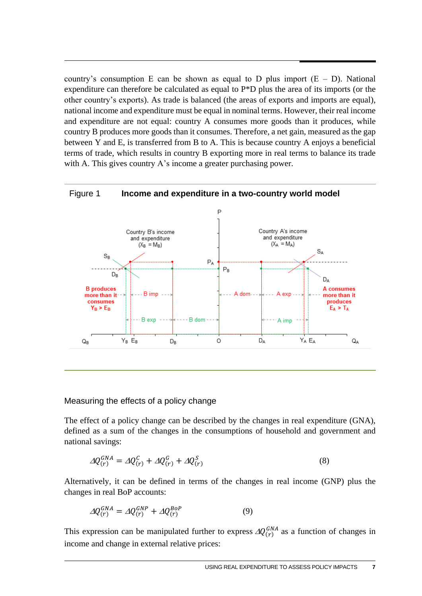country's consumption E can be shown as equal to D plus import  $(E - D)$ . National expenditure can therefore be calculated as equal to P\*D plus the area of its imports (or the other country's exports). As trade is balanced (the areas of exports and imports are equal), national income and expenditure must be equal in nominal terms. However, their real income and expenditure are not equal: country A consumes more goods than it produces, while country B produces more goods than it consumes. Therefore, a net gain, measured as the gap between Y and E, is transferred from B to A. This is because country A enjoys a beneficial terms of trade, which results in country B exporting more in real terms to balance its trade with A. This gives country A's income a greater purchasing power.

#### Figure 1 **Income and expenditure in a two-country world model** P Country A's income Country B's income and expenditure and expenditure  $(X_B = M_B)$  $(X_A = M_A)$  $S_A$  $S_B$  $P_A$  $\mathsf{P}_{\mathsf{B}}$  $D_B$  $D_A$ **B** produces A consumes **B** imp A dom-A exp more than it more than it consumes produces  $Y_B > E_B$  $E_A > T_A$ B exp **B** dom A imp Y<sub>A</sub>E<sub>A</sub>  $Q_A$  $Y_B E_B$  $\circ$  $D_A$  $Q_B$ D<sub>R</sub>

#### Measuring the effects of a policy change

The effect of a policy change can be described by the changes in real expenditure (GNA), defined as a sum of the changes in the consumptions of household and government and national savings:

$$
\Delta Q_{(r)}^{GNA} = \Delta Q_{(r)}^C + \Delta Q_{(r)}^G + \Delta Q_{(r)}^S \tag{8}
$$

Alternatively, it can be defined in terms of the changes in real income (GNP) plus the changes in real BoP accounts:

$$
\Delta Q_{(r)}^{GNA} = \Delta Q_{(r)}^{GNP} + \Delta Q_{(r)}^{BoP} \tag{9}
$$

This expression can be manipulated further to express  $\Delta Q_{(r)}^{GNA}$  as a function of changes in income and change in external relative prices: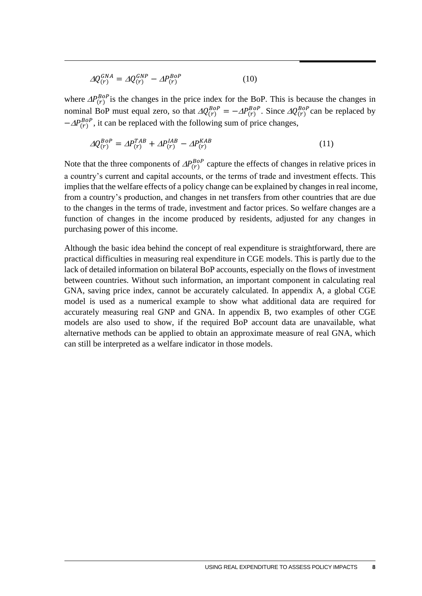$$
\Delta Q_{(r)}^{GNA} = \Delta Q_{(r)}^{GNP} - \Delta P_{(r)}^{Bop} \tag{10}
$$

where  $\Delta P_{(r)}^{BOP}$  is the changes in the price index for the BoP. This is because the changes in nominal BoP must equal zero, so that  $\Delta Q_{(r)}^{Bop} = -\Delta P_{(r)}^{Bop}$ . Since  $\Delta Q_{(r)}^{Bop}$  can be replaced by  $-\Delta P_{(r)}^{BOP}$ , it can be replaced with the following sum of price changes,

$$
\Delta Q_{(r)}^{Bop} = \Delta P_{(r)}^{TAB} + \Delta P_{(r)}^{IAB} - \Delta P_{(r)}^{KAB}
$$
\n(11)

Note that the three components of  $AP_{(r)}^{Bop}$  capture the effects of changes in relative prices in a country's current and capital accounts, or the terms of trade and investment effects. This implies that the welfare effects of a policy change can be explained by changes in real income, from a country's production, and changes in net transfers from other countries that are due to the changes in the terms of trade, investment and factor prices. So welfare changes are a function of changes in the income produced by residents, adjusted for any changes in purchasing power of this income.

Although the basic idea behind the concept of real expenditure is straightforward, there are practical difficulties in measuring real expenditure in CGE models. This is partly due to the lack of detailed information on bilateral BoP accounts, especially on the flows of investment between countries. Without such information, an important component in calculating real GNA, saving price index, cannot be accurately calculated. In appendix A, a global CGE model is used as a numerical example to show what additional data are required for accurately measuring real GNP and GNA. In appendix B, two examples of other CGE models are also used to show, if the required BoP account data are unavailable, what alternative methods can be applied to obtain an approximate measure of real GNA, which can still be interpreted as a welfare indicator in those models.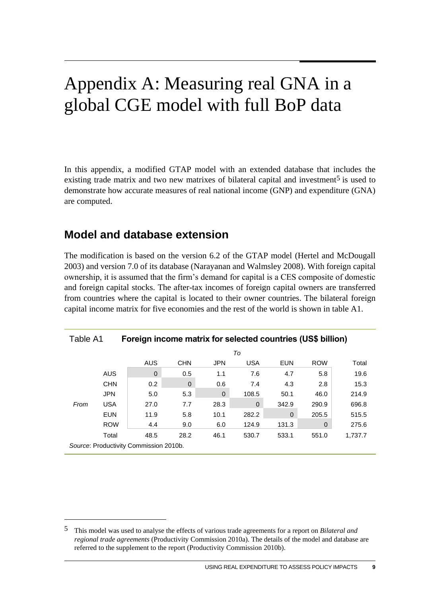## <span id="page-11-0"></span>Appendix A: Measuring real GNA in a global CGE model with full BoP data

In this appendix, a modified GTAP model with an extended database that includes the existing trade matrix and two new matrixes of bilateral capital and investment<sup>5</sup> is used to demonstrate how accurate measures of real national income (GNP) and expenditure (GNA) are computed.

### **Model and database extension**

<u>.</u>

The modification is based on the version 6.2 of the GTAP model (Hertel and McDougall 2003) and version 7.0 of its database (Narayanan and Walmsley 2008). With foreign capital ownership, it is assumed that the firm's demand for capital is a CES composite of domestic and foreign capital stocks. The after-tax incomes of foreign capital owners are transferred from countries where the capital is located to their owner countries. The bilateral foreign capital income matrix for five economies and the rest of the world is shown in table A1.

| Table A1<br>Foreign income matrix for selected countries (US\$ billion) |            |                                        |             |              |            |              |            |         |
|-------------------------------------------------------------------------|------------|----------------------------------------|-------------|--------------|------------|--------------|------------|---------|
|                                                                         |            |                                        |             |              | To         |              |            |         |
|                                                                         |            | AUS                                    | <b>CHN</b>  | <b>JPN</b>   | <b>USA</b> | <b>EUN</b>   | <b>ROW</b> | Total   |
|                                                                         | <b>AUS</b> | $\mathbf 0$                            | 0.5         | 1.1          | 7.6        | 4.7          | 5.8        | 19.6    |
|                                                                         | <b>CHN</b> | 0.2                                    | $\mathbf 0$ | 0.6          | 7.4        | 4.3          | 2.8        | 15.3    |
|                                                                         | <b>JPN</b> | 5.0                                    | 5.3         | $\mathbf{0}$ | 108.5      | 50.1         | 46.0       | 214.9   |
| From                                                                    | <b>USA</b> | 27.0                                   | 7.7         | 28.3         | $\Omega$   | 342.9        | 290.9      | 696.8   |
|                                                                         | <b>EUN</b> | 11.9                                   | 5.8         | 10.1         | 282.2      | $\mathbf{0}$ | 205.5      | 515.5   |
|                                                                         | <b>ROW</b> | 4.4                                    | 9.0         | 6.0          | 124.9      | 131.3        | 0          | 275.6   |
|                                                                         | Total      | 48.5                                   | 28.2        | 46.1         | 530.7      | 533.1        | 551.0      | 1,737.7 |
|                                                                         |            | Source: Productivity Commission 2010b. |             |              |            |              |            |         |

<sup>5</sup> This model was used to analyse the effects of various trade agreements for a report on *Bilateral and regional trade agreements* (Productivity Commission 2010a). The details of the model and database are referred to the supplement to the report (Productivity Commission 2010b).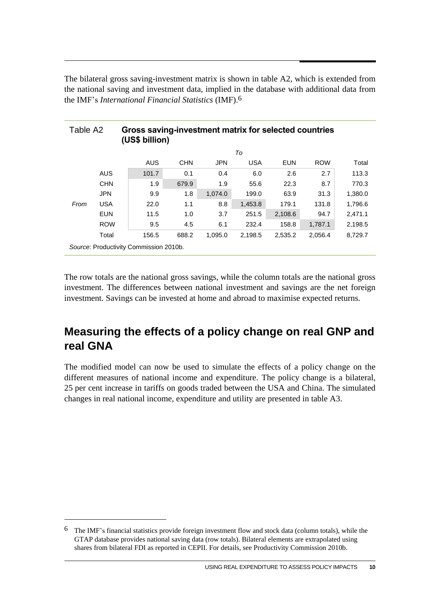The bilateral gross saving-investment matrix is shown in table A2, which is extended from the national saving and investment data, implied in the database with additional data from the IMF's *International Financial Statistics* (IMF).6

| Table A <sub>2</sub> |            | Gross saving-investment matrix for selected countries<br>(US\$ billion) |            |            |            |            |            |         |
|----------------------|------------|-------------------------------------------------------------------------|------------|------------|------------|------------|------------|---------|
|                      |            |                                                                         |            |            | To         |            |            |         |
|                      |            | AUS                                                                     | <b>CHN</b> | <b>JPN</b> | <b>USA</b> | <b>EUN</b> | <b>ROW</b> | Total   |
|                      | <b>AUS</b> | 101.7                                                                   | 0.1        | 0.4        | 6.0        | 2.6        | 2.7        | 113.3   |
|                      | <b>CHN</b> | 1.9                                                                     | 679.9      | 1.9        | 55.6       | 22.3       | 8.7        | 770.3   |
|                      | <b>JPN</b> | 9.9                                                                     | 1.8        | 1,074.0    | 199.0      | 63.9       | 31.3       | 1,380.0 |
| From                 | <b>USA</b> | 22.0                                                                    | 1.1        | 8.8        | 1,453.8    | 179.1      | 131.8      | 1,796.6 |
|                      | <b>EUN</b> | 11.5                                                                    | 1.0        | 3.7        | 251.5      | 2,108.6    | 94.7       | 2,471.1 |
|                      | <b>ROW</b> | 9.5                                                                     | 4.5        | 6.1        | 232.4      | 158.8      | 1,787.1    | 2,198.5 |
|                      | Total      | 156.5                                                                   | 688.2      | 1,095.0    | 2,198.5    | 2,535.2    | 2,056.4    | 8,729.7 |
|                      |            | Source: Productivity Commission 2010b.                                  |            |            |            |            |            |         |

The row totals are the national gross savings, while the column totals are the national gross investment. The differences between national investment and savings are the net foreign investment. Savings can be invested at home and abroad to maximise expected returns.

### **Measuring the effects of a policy change on real GNP and real GNA**

The modified model can now be used to simulate the effects of a policy change on the different measures of national income and expenditure. The policy change is a bilateral, 25 per cent increase in tariffs on goods traded between the USA and China. The simulated changes in real national income, expenditure and utility are presented in table A3.

<u>.</u>

<sup>6</sup> The IMF's financial statistics provide foreign investment flow and stock data (column totals), while the GTAP database provides national saving data (row totals). Bilateral elements are extrapolated using shares from bilateral FDI as reported in CEPII. For details, see Productivity Commission 2010b.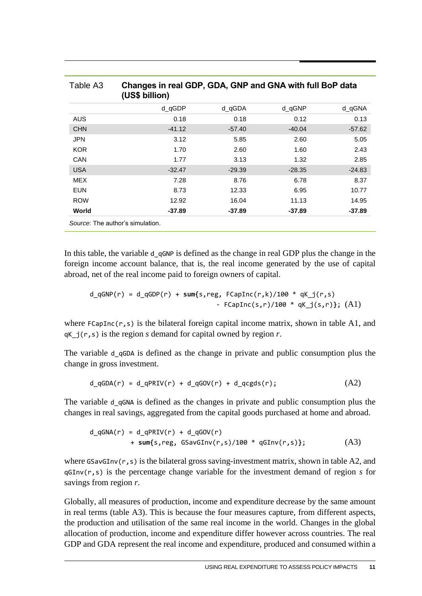| Table A3   | Changes in real GDP, GDA, GNP and GNA with full BoP data<br>(US\$ billion) |          |          |          |  |  |  |
|------------|----------------------------------------------------------------------------|----------|----------|----------|--|--|--|
|            | d_qGDP                                                                     | d_qGDA   | d_qGNP   | d_qGNA   |  |  |  |
| <b>AUS</b> | 0.18                                                                       | 0.18     | 0.12     | 0.13     |  |  |  |
| <b>CHN</b> | $-41.12$                                                                   | $-57.40$ | $-40.04$ | $-57.62$ |  |  |  |
| <b>JPN</b> | 3.12                                                                       | 5.85     | 2.60     | 5.05     |  |  |  |
| <b>KOR</b> | 1.70                                                                       | 2.60     | 1.60     | 2.43     |  |  |  |
| CAN        | 1.77                                                                       | 3.13     | 1.32     | 2.85     |  |  |  |
| <b>USA</b> | $-32.47$                                                                   | $-29.39$ | $-28.35$ | $-24.83$ |  |  |  |
| <b>MEX</b> | 7.28                                                                       | 8.76     | 6.78     | 8.37     |  |  |  |
| <b>EUN</b> | 8.73                                                                       | 12.33    | 6.95     | 10.77    |  |  |  |
| <b>ROW</b> | 12.92                                                                      | 16.04    | 11.13    | 14.95    |  |  |  |
| World      | -37.89                                                                     | -37.89   | $-37.89$ | -37.89   |  |  |  |

In this table, the variable d qGNP is defined as the change in real GDP plus the change in the foreign income account balance, that is, the real income generated by the use of capital abroad, net of the real income paid to foreign owners of capital.

$$
d_qGNP(r) = d_qGDP(r) + sum\{s, reg, FCapInc(r,k)/100 * qK_j(r,s) \} ; (A1)
$$
  
- FCapInc(s,r)/100 \* qK\_j(s,r)}; (A1)

where  $F$ CapInc(r,s) is the bilateral foreign capital income matrix, shown in table A1, and qK\_j(r,s) is the region *s* demand for capital owned by region *r*.

The variable d\_qGDA is defined as the change in private and public consumption plus the change in gross investment.

$$
d_qGDA(r) = d_qPRIV(r) + d_qGOV(r) + d_qcgds(r); \qquad (A2)
$$

The variable d qGNA is defined as the changes in private and public consumption plus the changes in real savings, aggregated from the capital goods purchased at home and abroad.

$$
d_qGNA(r) = d_qPRIV(r) + d_qGOV(r)
$$
  
+ sum{s, reg, GSavGInv(r,s)/100 \* qGInv(r,s)}; (A3)

where  $\sigma$ Sav $\sigma$ Inv(r,s) is the bilateral gross saving-investment matrix, shown in table A2, and qGInv(r,s) is the percentage change variable for the investment demand of region *s* for savings from region *r*.

Globally, all measures of production, income and expenditure decrease by the same amount in real terms (table A3). This is because the four measures capture, from different aspects, the production and utilisation of the same real income in the world. Changes in the global allocation of production, income and expenditure differ however across countries. The real GDP and GDA represent the real income and expenditure, produced and consumed within a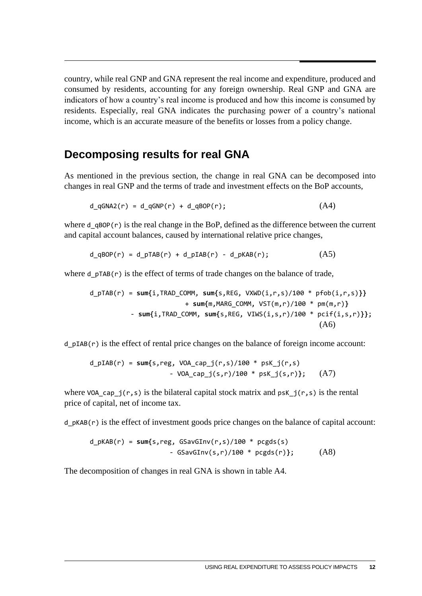country, while real GNP and GNA represent the real income and expenditure, produced and consumed by residents, accounting for any foreign ownership. Real GNP and GNA are indicators of how a country's real income is produced and how this income is consumed by residents. Especially, real GNA indicates the purchasing power of a country's national income, which is an accurate measure of the benefits or losses from a policy change.

### **Decomposing results for real GNA**

As mentioned in the previous section, the change in real GNA can be decomposed into changes in real GNP and the terms of trade and investment effects on the BoP accounts,

$$
d_qGNA2(r) = d_qGNP(r) + d_qBOP(r); \qquad (A4)
$$

where  $d \theta$  qBOP(r) is the real change in the BoP, defined as the difference between the current and capital account balances, caused by international relative price changes,

$$
d_qBOP(r) = d_pTAB(r) + d_pIAB(r) - d_pKAB(r); \qquad (A5)
$$

where  $d$   $pTAB(r)$  is the effect of terms of trade changes on the balance of trade,

$$
d_pTAB(r) = sum\{i, TRAD_COMM, sum\{s, REG, VXWD(i,r,s)/100 * pFob(i,r,s))\} + sum\{m, MARG_COMM, VST(m,r)/100 * pm(m,r)\}
$$
  
- sum\{i, TRAD\_COMM, sum\{s, REG, VIWS(i,s,r)/100 \* pcif(i,s,r)\}\};  
(A6)

 $d$  pIAB(r) is the effect of rental price changes on the balance of foreign income account:

$$
d_pIAB(r) = sum\{s, reg, VOA_cap_j(r,s)/100 * psK_j(r,s)
$$
  
- VOA\_cap\_j(s,r)/100 \* psK\_j(s,r)}; (A7)

where VOA cap  $j(r,s)$  is the bilateral capital stock matrix and psK  $j(r,s)$  is the rental price of capital, net of income tax.

 $d$  pKAB(r) is the effect of investment goods price changes on the balance of capital account:

d\_pKAB(r) = **sum{**s,reg, GSavGInv(r,s)/100 \* pcgds(s) - GSavGInv(s,r)/100 \* pcgds(r)**}**; (A8)

The decomposition of changes in real GNA is shown in table A4.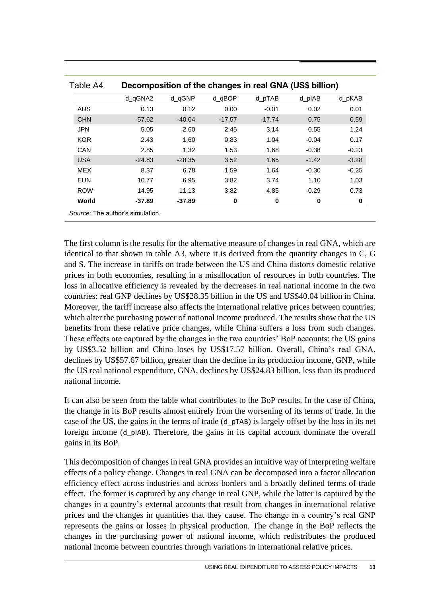| Table A4   |          |          |          | Decomposition of the changes in real GNA (US\$ billion) |         |         |
|------------|----------|----------|----------|---------------------------------------------------------|---------|---------|
|            | d qGNA2  | d gGNP   | d_qBOP   | d pTAB                                                  | d plAB  | d pKAB  |
| AUS        | 0.13     | 0.12     | 0.00     | $-0.01$                                                 | 0.02    | 0.01    |
| <b>CHN</b> | $-57.62$ | $-40.04$ | $-17.57$ | $-17.74$                                                | 0.75    | 0.59    |
| <b>JPN</b> | 5.05     | 2.60     | 2.45     | 3.14                                                    | 0.55    | 1.24    |
| <b>KOR</b> | 2.43     | 1.60     | 0.83     | 1.04                                                    | $-0.04$ | 0.17    |
| CAN        | 2.85     | 1.32     | 1.53     | 1.68                                                    | $-0.38$ | $-0.23$ |
| <b>USA</b> | $-24.83$ | $-28.35$ | 3.52     | 1.65                                                    | $-1.42$ | $-3.28$ |
| <b>MEX</b> | 8.37     | 6.78     | 1.59     | 1.64                                                    | $-0.30$ | $-0.25$ |
| <b>EUN</b> | 10.77    | 6.95     | 3.82     | 3.74                                                    | 1.10    | 1.03    |
| <b>ROW</b> | 14.95    | 11.13    | 3.82     | 4.85                                                    | $-0.29$ | 0.73    |
| World      | -37.89   | $-37.89$ | 0        | 0                                                       | 0       | 0       |

The first column is the results for the alternative measure of changes in real GNA, which are identical to that shown in table A3, where it is derived from the quantity changes in C, G and S. The increase in tariffs on trade between the US and China distorts domestic relative prices in both economies, resulting in a misallocation of resources in both countries. The loss in allocative efficiency is revealed by the decreases in real national income in the two countries: real GNP declines by US\$28.35 billion in the US and US\$40.04 billion in China. Moreover, the tariff increase also affects the international relative prices between countries, which alter the purchasing power of national income produced. The results show that the US benefits from these relative price changes, while China suffers a loss from such changes. These effects are captured by the changes in the two countries' BoP accounts: the US gains by US\$3.52 billion and China loses by US\$17.57 billion. Overall, China's real GNA, declines by US\$57.67 billion, greater than the decline in its production income, GNP, while the US real national expenditure, GNA, declines by US\$24.83 billion, less than its produced national income.

It can also be seen from the table what contributes to the BoP results. In the case of China, the change in its BoP results almost entirely from the worsening of its terms of trade. In the case of the US, the gains in the terms of trade (d\_pTAB) is largely offset by the loss in its net foreign income (d\_pIAB). Therefore, the gains in its capital account dominate the overall gains in its BoP.

This decomposition of changes in real GNA provides an intuitive way of interpreting welfare effects of a policy change. Changes in real GNA can be decomposed into a factor allocation efficiency effect across industries and across borders and a broadly defined terms of trade effect. The former is captured by any change in real GNP, while the latter is captured by the changes in a country's external accounts that result from changes in international relative prices and the changes in quantities that they cause. The change in a country's real GNP represents the gains or losses in physical production. The change in the BoP reflects the changes in the purchasing power of national income, which redistributes the produced national income between countries through variations in international relative prices.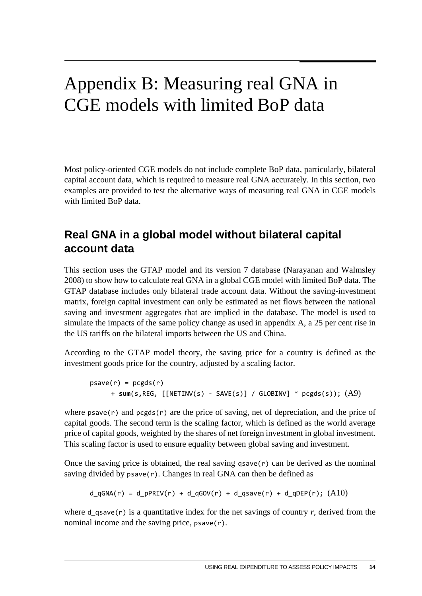## <span id="page-16-0"></span>Appendix B: Measuring real GNA in CGE models with limited BoP data

Most policy-oriented CGE models do not include complete BoP data, particularly, bilateral capital account data, which is required to measure real GNA accurately. In this section, two examples are provided to test the alternative ways of measuring real GNA in CGE models with limited BoP data.

## **Real GNA in a global model without bilateral capital account data**

This section uses the GTAP model and its version 7 database (Narayanan and Walmsley 2008) to show how to calculate real GNA in a global CGE model with limited BoP data. The GTAP database includes only bilateral trade account data. Without the saving-investment matrix, foreign capital investment can only be estimated as net flows between the national saving and investment aggregates that are implied in the database. The model is used to simulate the impacts of the same policy change as used in appendix A, a 25 per cent rise in the US tariffs on the bilateral imports between the US and China.

According to the GTAP model theory, the saving price for a country is defined as the investment goods price for the country, adjusted by a scaling factor.

```
psave(r) = pcgds(r) + sum(s,REG, [[NETINV(s) - SAVE(s)] / GLOBINV] * pcgds(s)); (A9)
```
where  $psave(r)$  and  $pegds(r)$  are the price of saving, net of depreciation, and the price of capital goods. The second term is the scaling factor, which is defined as the world average price of capital goods, weighted by the shares of net foreign investment in global investment. This scaling factor is used to ensure equality between global saving and investment.

Once the saving price is obtained, the real saving  $q$ save $(r)$  can be derived as the nominal saving divided by  $p$ save $(r)$ . Changes in real GNA can then be defined as

$$
d_qGNA(r) = d_pPRIV(r) + d_qGOV(r) + d_qSave(r) + d_qDEF(r); (A10)
$$

where  $d_{\text{q}}$  as a quantitative index for the net savings of country *r*, derived from the nominal income and the saving price,  $p$ save $(r)$ .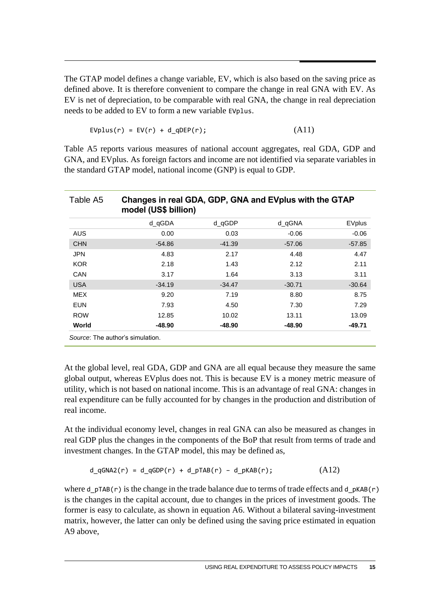The GTAP model defines a change variable, EV, which is also based on the saving price as defined above. It is therefore convenient to compare the change in real GNA with EV. As EV is net of depreciation, to be comparable with real GNA, the change in real depreciation needs to be added to EV to form a new variable EVplus.

$$
EVplus(r) = EV(r) + d_qDEF(r); \qquad (A11)
$$

Table A5 reports various measures of national account aggregates, real GDA, GDP and GNA, and EVplus. As foreign factors and income are not identified via separate variables in the standard GTAP model, national income (GNP) is equal to GDP.

| Table A5   | Changes in real GDA, GDP, GNA and EVplus with the GTAP<br>model (US\$ billion) |          |          |          |  |  |
|------------|--------------------------------------------------------------------------------|----------|----------|----------|--|--|
|            | d_qGDA                                                                         | d gGDP   | d_qGNA   | EVplus   |  |  |
| <b>AUS</b> | 0.00                                                                           | 0.03     | $-0.06$  | $-0.06$  |  |  |
| <b>CHN</b> | $-54.86$                                                                       | $-41.39$ | $-57.06$ | $-57.85$ |  |  |
| <b>JPN</b> | 4.83                                                                           | 2.17     | 4.48     | 4.47     |  |  |
| <b>KOR</b> | 2.18                                                                           | 1.43     | 2.12     | 2.11     |  |  |
| CAN        | 3.17                                                                           | 1.64     | 3.13     | 3.11     |  |  |
| <b>USA</b> | $-34.19$                                                                       | $-34.47$ | $-30.71$ | $-30.64$ |  |  |
| <b>MEX</b> | 9.20                                                                           | 7.19     | 8.80     | 8.75     |  |  |
| <b>EUN</b> | 7.93                                                                           | 4.50     | 7.30     | 7.29     |  |  |
| <b>ROW</b> | 12.85                                                                          | 10.02    | 13.11    | 13.09    |  |  |
| World      | -48.90                                                                         | -48.90   | -48.90   | -49.71   |  |  |
|            | Source: The author's simulation.                                               |          |          |          |  |  |

At the global level, real GDA, GDP and GNA are all equal because they measure the same global output, whereas EVplus does not. This is because EV is a money metric measure of utility, which is not based on national income. This is an advantage of real GNA: changes in real expenditure can be fully accounted for by changes in the production and distribution of real income.

At the individual economy level, changes in real GNA can also be measured as changes in real GDP plus the changes in the components of the BoP that result from terms of trade and investment changes. In the GTAP model, this may be defined as,

$$
d_qGNA2(r) = d_qGDP(r) + d_pTAB(r) - d_pKAB(r); \qquad (A12)
$$

where d  $pTAB(r)$  is the change in the trade balance due to terms of trade effects and d  $pKAB(r)$ is the changes in the capital account, due to changes in the prices of investment goods. The former is easy to calculate, as shown in equation A6. Without a bilateral saving-investment matrix, however, the latter can only be defined using the saving price estimated in equation A9 above,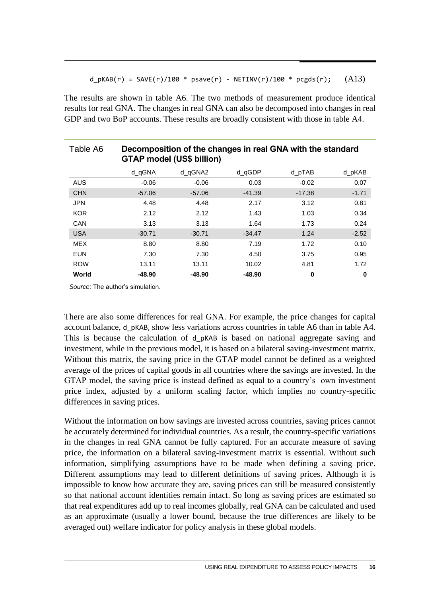#### $d_pKAB(r) = SAVE(r)/100 * psave(r) - NETINV(r)/100 * pcgds(r);$  (A13)

The results are shown in table A6. The two methods of measurement produce identical results for real GNA. The changes in real GNA can also be decomposed into changes in real GDP and two BoP accounts. These results are broadly consistent with those in table A4.

| Table A6   |                                  | <b>GTAP model (US\$ billion)</b> | Decomposition of the changes in real GNA with the standard |          |         |
|------------|----------------------------------|----------------------------------|------------------------------------------------------------|----------|---------|
|            | d gGNA                           | d qGNA2                          | d_qGDP                                                     | d pTAB   | d pKAB  |
| <b>AUS</b> | $-0.06$                          | $-0.06$                          | 0.03                                                       | $-0.02$  | 0.07    |
| <b>CHN</b> | $-57.06$                         | $-57.06$                         | $-41.39$                                                   | $-17.38$ | $-1.71$ |
| <b>JPN</b> | 4.48                             | 4.48                             | 2.17                                                       | 3.12     | 0.81    |
| <b>KOR</b> | 2.12                             | 2.12                             | 1.43                                                       | 1.03     | 0.34    |
| CAN        | 3.13                             | 3.13                             | 1.64                                                       | 1.73     | 0.24    |
| <b>USA</b> | $-30.71$                         | $-30.71$                         | $-34.47$                                                   | 1.24     | $-2.52$ |
| <b>MEX</b> | 8.80                             | 8.80                             | 7.19                                                       | 1.72     | 0.10    |
| <b>EUN</b> | 7.30                             | 7.30                             | 4.50                                                       | 3.75     | 0.95    |
| <b>ROW</b> | 13.11                            | 13.11                            | 10.02                                                      | 4.81     | 1.72    |
| World      | -48.90                           | -48.90                           | -48.90                                                     | 0        | 0       |
|            | Source: The author's simulation. |                                  |                                                            |          |         |

There are also some differences for real GNA. For example, the price changes for capital account balance, d\_pKAB, show less variations across countries in table A6 than in table A4. This is because the calculation of d pKAB is based on national aggregate saving and investment, while in the previous model, it is based on a bilateral saving-investment matrix. Without this matrix, the saving price in the GTAP model cannot be defined as a weighted average of the prices of capital goods in all countries where the savings are invested. In the GTAP model, the saving price is instead defined as equal to a country's own investment price index, adjusted by a uniform scaling factor, which implies no country-specific differences in saving prices.

Without the information on how savings are invested across countries, saving prices cannot be accurately determined for individual countries. As a result, the country-specific variations in the changes in real GNA cannot be fully captured. For an accurate measure of saving price, the information on a bilateral saving-investment matrix is essential. Without such information, simplifying assumptions have to be made when defining a saving price. Different assumptions may lead to different definitions of saving prices. Although it is impossible to know how accurate they are, saving prices can still be measured consistently so that national account identities remain intact. So long as saving prices are estimated so that real expenditures add up to real incomes globally, real GNA can be calculated and used as an approximate (usually a lower bound, because the true differences are likely to be averaged out) welfare indicator for policy analysis in these global models.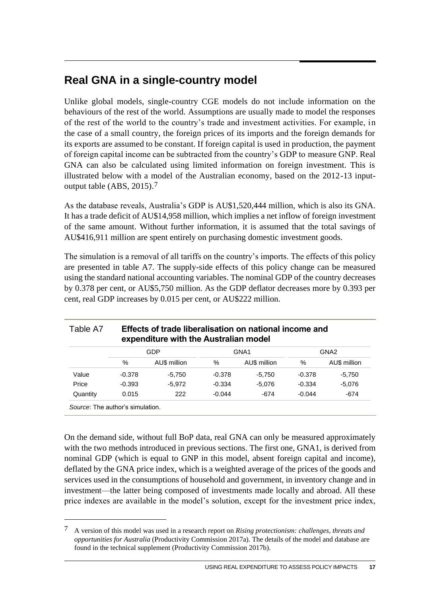### **Real GNA in a single-country model**

Unlike global models, single-country CGE models do not include information on the behaviours of the rest of the world. Assumptions are usually made to model the responses of the rest of the world to the country's trade and investment activities. For example, in the case of a small country, the foreign prices of its imports and the foreign demands for its exports are assumed to be constant. If foreign capital is used in production, the payment of foreign capital income can be subtracted from the country's GDP to measure GNP. Real GNA can also be calculated using limited information on foreign investment. This is illustrated below with a model of the Australian economy, based on the 2012-13 inputoutput table (ABS, 2015).7

As the database reveals, Australia's GDP is AU\$1,520,444 million, which is also its GNA. It has a trade deficit of AU\$14,958 million, which implies a net inflow of foreign investment of the same amount. Without further information, it is assumed that the total savings of AU\$416,911 million are spent entirely on purchasing domestic investment goods.

The simulation is a removal of all tariffs on the country's imports. The effects of this policy are presented in table A7. The supply-side effects of this policy change can be measured using the standard national accounting variables. The nominal GDP of the country decreases by 0.378 per cent, or AU\$5,750 million. As the GDP deflator decreases more by 0.393 per cent, real GDP increases by 0.015 per cent, or AU\$222 million.

|          |          | <b>GDP</b>   | GNA <sub>1</sub> |              | GNA <sub>2</sub> |              |
|----------|----------|--------------|------------------|--------------|------------------|--------------|
|          | %        | AU\$ million | %                | AU\$ million | %                | AU\$ million |
| Value    | $-0.378$ | $-5.750$     | $-0.378$         | $-5.750$     | $-0.378$         | $-5.750$     |
| Price    | $-0.393$ | $-5.972$     | $-0.334$         | $-5.076$     | $-0.334$         | $-5.076$     |
| Quantity | 0.015    | 222          | $-0.044$         | -674         | $-0.044$         | $-674$       |

# Table A7 **Effects of trade liberalisation on national income and**

On the demand side, without full BoP data, real GNA can only be measured approximately with the two methods introduced in previous sections. The first one, GNA1, is derived from nominal GDP (which is equal to GNP in this model, absent foreign capital and income), deflated by the GNA price index, which is a weighted average of the prices of the goods and services used in the consumptions of household and government, in inventory change and in investment—the latter being composed of investments made locally and abroad. All these price indexes are available in the model's solution, except for the investment price index,

<u>.</u>

<sup>7</sup> A version of this model was used in a research report on *Rising protectionism: challenges, threats and opportunities for Australia* (Productivity Commission 2017a). The details of the model and database are found in the technical supplement (Productivity Commission 2017b).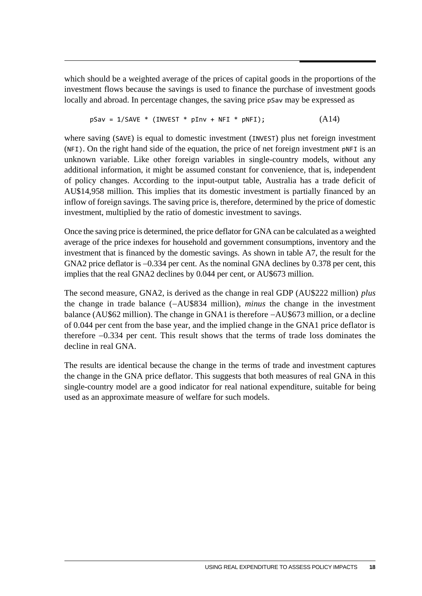which should be a weighted average of the prices of capital goods in the proportions of the investment flows because the savings is used to finance the purchase of investment goods locally and abroad. In percentage changes, the saving price pSav may be expressed as

$$
pSav = 1/SAVE * (INVEST * pInv + NFI * pNFI); \qquad (A14)
$$

where saving (SAVE) is equal to domestic investment (INVEST) plus net foreign investment (NFI). On the right hand side of the equation, the price of net foreign investment pNFI is an unknown variable. Like other foreign variables in single-country models, without any additional information, it might be assumed constant for convenience, that is, independent of policy changes. According to the input-output table, Australia has a trade deficit of AU\$14,958 million. This implies that its domestic investment is partially financed by an inflow of foreign savings. The saving price is, therefore, determined by the price of domestic investment, multiplied by the ratio of domestic investment to savings.

Once the saving price is determined, the price deflator for GNA can be calculated as a weighted average of the price indexes for household and government consumptions, inventory and the investment that is financed by the domestic savings. As shown in table A7, the result for the GNA2 price deflator is  $-0.334$  per cent. As the nominal GNA declines by 0.378 per cent, this implies that the real GNA2 declines by 0.044 per cent, or AU\$673 million.

The second measure, GNA2, is derived as the change in real GDP (AU\$222 million) *plus* the change in trade balance (AU\$834 million), *minus* the change in the investment balance (AU\$62 million). The change in GNA1 is therefore  $-AU$673$  million, or a decline of 0.044 per cent from the base year, and the implied change in the GNA1 price deflator is therefore  $-0.334$  per cent. This result shows that the terms of trade loss dominates the decline in real GNA.

The results are identical because the change in the terms of trade and investment captures the change in the GNA price deflator. This suggests that both measures of real GNA in this single-country model are a good indicator for real national expenditure, suitable for being used as an approximate measure of welfare for such models.